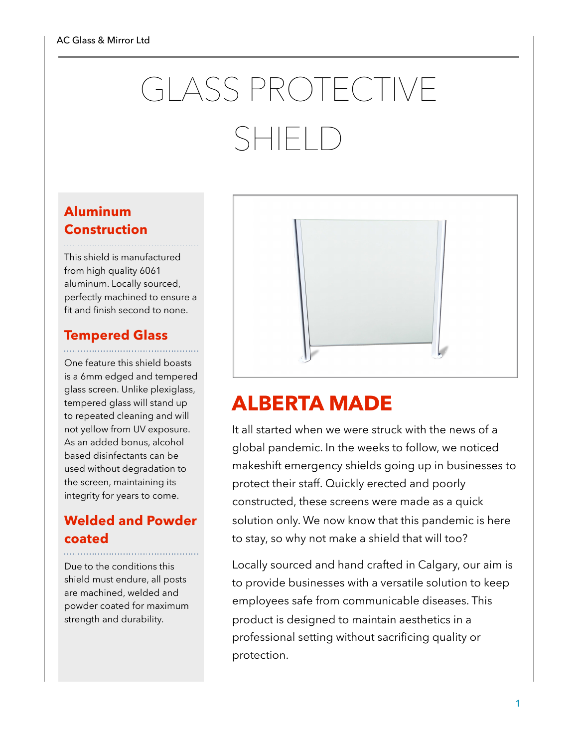# GLASS PROTECTIVE SHIFI<sub>D</sub>

### **Aluminum Construction**

This shield is manufactured from high quality 6061 aluminum. Locally sourced, perfectly machined to ensure a fit and finish second to none.

# **Tempered Glass**

One feature this shield boasts is a 6mm edged and tempered glass screen. Unlike plexiglass, tempered glass will stand up to repeated cleaning and will not yellow from UV exposure. As an added bonus, alcohol based disinfectants can be used without degradation to the screen, maintaining its integrity for years to come.

### **Welded and Powder coated**

Due to the conditions this shield must endure, all posts are machined, welded and powder coated for maximum strength and durability.



## **ALBERTA MADE**

It all started when we were struck with the news of a global pandemic. In the weeks to follow, we noticed makeshift emergency shields going up in businesses to protect their staff. Quickly erected and poorly constructed, these screens were made as a quick solution only. We now know that this pandemic is here to stay, so why not make a shield that will too?

Locally sourced and hand crafted in Calgary, our aim is to provide businesses with a versatile solution to keep employees safe from communicable diseases. This product is designed to maintain aesthetics in a professional setting without sacrificing quality or protection.